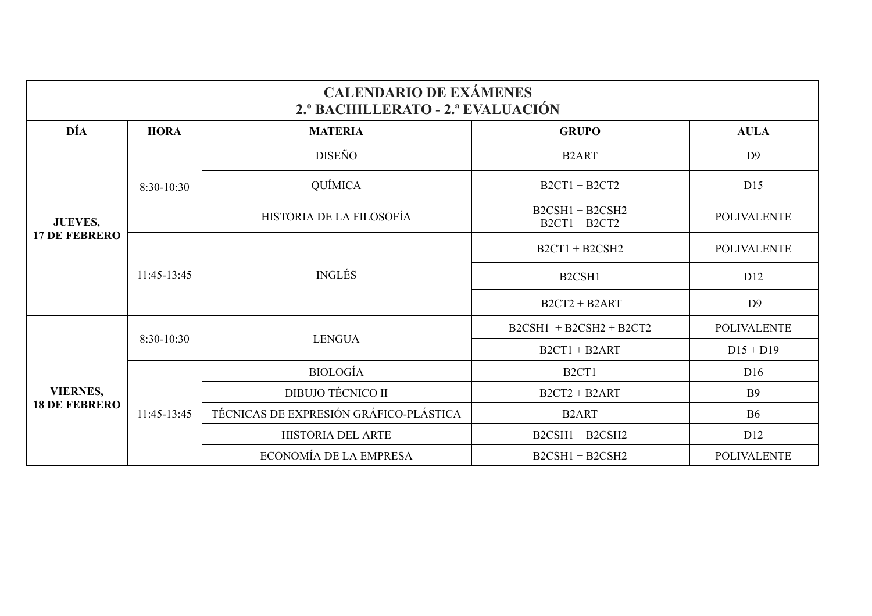| <b>CALENDARIO DE EXÁMENES</b><br>2.º BACHILLERATO - 2.ª EVALUACIÓN |              |                                        |                                      |                    |  |  |  |
|--------------------------------------------------------------------|--------------|----------------------------------------|--------------------------------------|--------------------|--|--|--|
| DÍA                                                                | <b>HORA</b>  | <b>MATERIA</b>                         | <b>GRUPO</b>                         | <b>AULA</b>        |  |  |  |
| <b>JUEVES,</b><br><b>17 DE FEBRERO</b>                             | 8:30-10:30   | <b>DISEÑO</b>                          | B <sub>2</sub> ART                   | D <sub>9</sub>     |  |  |  |
|                                                                    |              | QUÍMICA                                | $B2CT1 + B2CT2$                      | D15                |  |  |  |
|                                                                    |              | HISTORIA DE LA FILOSOFÍA               | $B2CSH1 + B2CSH2$<br>$B2CT1 + B2CT2$ | <b>POLIVALENTE</b> |  |  |  |
|                                                                    | 11:45-13:45  | <b>INGLÉS</b>                          | $B2CT1 + B2CSH2$                     | <b>POLIVALENTE</b> |  |  |  |
|                                                                    |              |                                        | B <sub>2</sub> CSH <sub>1</sub>      | D <sub>12</sub>    |  |  |  |
|                                                                    |              |                                        | $B2CT2 + B2ART$                      | D <sub>9</sub>     |  |  |  |
| <b>VIERNES,</b><br><b>18 DE FEBRERO</b>                            | $8:30-10:30$ | <b>LENGUA</b>                          | $B2CSH1 + B2CSH2 + B2CT2$            | <b>POLIVALENTE</b> |  |  |  |
|                                                                    |              |                                        | $B2CT1 + B2ART$                      | $D15 + D19$        |  |  |  |
|                                                                    | 11:45-13:45  | <b>BIOLOGÍA</b>                        | B <sub>2</sub> CT <sub>1</sub>       | D16                |  |  |  |
|                                                                    |              | <b>DIBUJO TÉCNICO II</b>               | $B2CT2 + B2ART$                      | <b>B</b> 9         |  |  |  |
|                                                                    |              | TÉCNICAS DE EXPRESIÓN GRÁFICO-PLÁSTICA | B <sub>2</sub> ART                   | <b>B6</b>          |  |  |  |
|                                                                    |              | HISTORIA DEL ARTE                      | $B2CSH1 + B2CSH2$                    | D <sub>12</sub>    |  |  |  |
|                                                                    |              | ECONOMÍA DE LA EMPRESA                 | $B2CSH1 + B2CSH2$                    | <b>POLIVALENTE</b> |  |  |  |